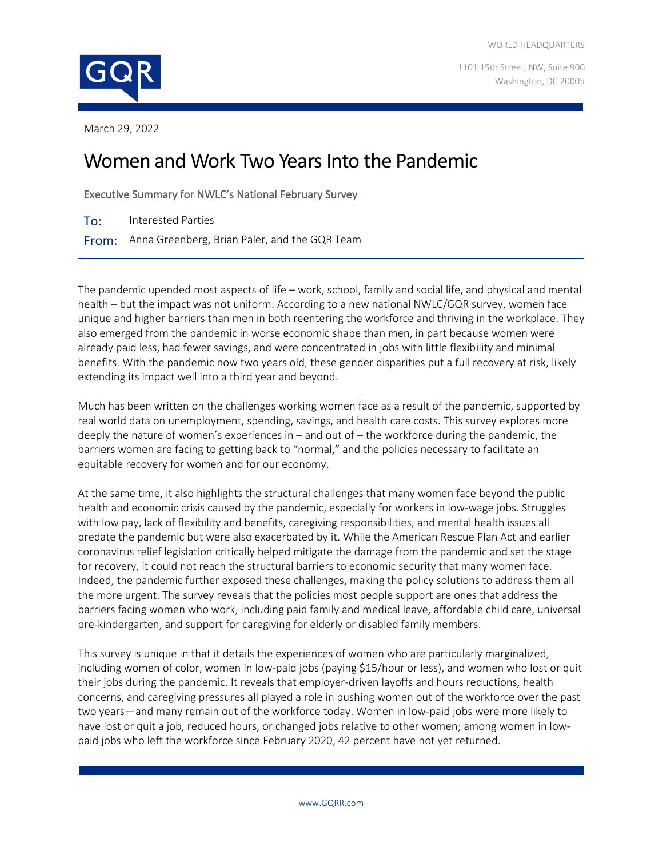1101 15th Street, NW, Suite 900 Washington, DC 20005



March 29, 2022

# Women and Work Two Years Into the Pandemic

Executive Summary for NWLC's National February Survey

To: Interested Parties

From: Anna Greenberg, Brian Paler, and the GQR Team

The pandemic upended most aspects of life – work, school, family and social life, and physical and mental health – but the impact was not uniform. According to a new national NWLC/GQR survey, women face unique and higher barriers than men in both reentering the workforce and thriving in the workplace. They also emerged from the pandemic in worse economic shape than men, in part because women were already paid less, had fewer savings, and were concentrated in jobs with little flexibility and minimal benefits. With the pandemic now two years old, these gender disparities put a full recovery at risk, likely extending its impact well into a third year and beyond.

Much has been written on the challenges working women face as a result of the pandemic, supported by real world data on unemployment, spending, savings, and health care costs. This survey explores more deeply the nature of women's experiences in – and out of – the workforce during the pandemic, the barriers women are facing to getting back to "normal," and the policies necessary to facilitate an equitable recovery for women and for our economy.

At the same time, it also highlights the structural challenges that many women face beyond the public health and economic crisis caused by the pandemic, especially for workers in low-wage jobs. Struggles with low pay, lack of flexibility and benefits, caregiving responsibilities, and mental health issues all predate the pandemic but were also exacerbated by it. While the American Rescue Plan Act and earlier coronavirus relief legislation critically helped mitigate the damage from the pandemic and set the stage for recovery, it could not reach the structural barriers to economic security that many women face. Indeed, the pandemic further exposed these challenges, making the policy solutions to address them all the more urgent. The survey reveals that the policies most people support are ones that address the barriers facing women who work, including paid family and medical leave, affordable child care, universal pre-kindergarten, and support for caregiving for elderly or disabled family members.

This survey is unique in that it details the experiences of women who are particularly marginalized, including women of color, women in low-paid jobs (paying \$15/hour or less), and women who lost or quit their jobs during the pandemic. It reveals that employer-driven layoffs and hours reductions, health concerns, and caregiving pressures all played a role in pushing women out of the workforce over the past two years—and many remain out of the workforce today. Women in low-paid jobs were more likely to have lost or quit a job, reduced hours, or changed jobs relative to other women; among women in lowpaid jobs who left the workforce since February 2020, 42 percent have not yet returned.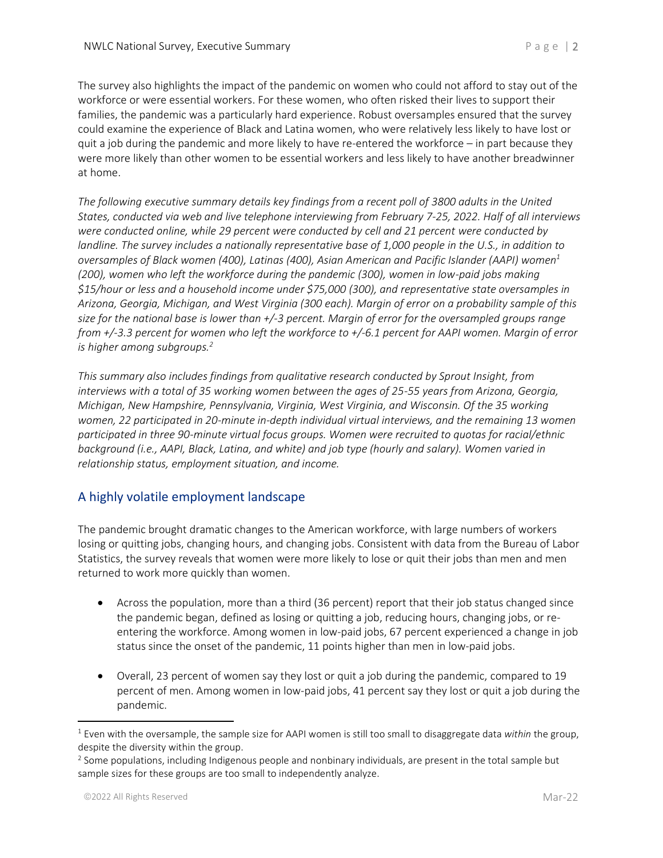The survey also highlights the impact of the pandemic on women who could not afford to stay out of the workforce or were essential workers. For these women, who often risked their lives to support their families, the pandemic was a particularly hard experience. Robust oversamples ensured that the survey could examine the experience of Black and Latina women, who were relatively less likely to have lost or quit a job during the pandemic and more likely to have re-entered the workforce – in part because they were more likely than other women to be essential workers and less likely to have another breadwinner at home.

*The following executive summary details key findings from a recent poll of 3800 adults in the United States, conducted via web and live telephone interviewing from February 7-25, 2022. Half of all interviews were conducted online, while 29 percent were conducted by cell and 21 percent were conducted by landline. The survey includes a nationally representative base of 1,000 people in the U.S., in addition to oversamples of Black women (400), Latinas (400), Asian American and Pacific Islander (AAPI) women<sup>1</sup> (200), women who left the workforce during the pandemic (300), women in low-paid jobs making \$15/hour or less and a household income under \$75,000 (300), and representative state oversamples in Arizona, Georgia, Michigan, and West Virginia (300 each). Margin of error on a probability sample of this size for the national base is lower than +/-3 percent. Margin of error for the oversampled groups range from +/-3.3 percent for women who left the workforce to +/-6.1 percent for AAPI women. Margin of error is higher among subgroups.<sup>2</sup>*

*This summary also includes findings from qualitative research conducted by Sprout Insight, from interviews with a total of 35 working women between the ages of 25-55 years from Arizona, Georgia, Michigan, New Hampshire, Pennsylvania, Virginia, West Virginia, and Wisconsin. Of the 35 working women, 22 participated in 20-minute in-depth individual virtual interviews, and the remaining 13 women participated in three 90-minute virtual focus groups. Women were recruited to quotas for racial/ethnic background (i.e., AAPI, Black, Latina, and white) and job type (hourly and salary). Women varied in relationship status, employment situation, and income.* 

# A highly volatile employment landscape

The pandemic brought dramatic changes to the American workforce, with large numbers of workers losing or quitting jobs, changing hours, and changing jobs. Consistent with data from the Bureau of Labor Statistics, the survey reveals that women were more likely to lose or quit their jobs than men and men returned to work more quickly than women.

- Across the population, more than a third (36 percent) report that their job status changed since the pandemic began, defined as losing or quitting a job, reducing hours, changing jobs, or reentering the workforce. Among women in low-paid jobs, 67 percent experienced a change in job status since the onset of the pandemic, 11 points higher than men in low-paid jobs.
- Overall, 23 percent of women say they lost or quit a job during the pandemic, compared to 19 percent of men. Among women in low-paid jobs, 41 percent say they lost or quit a job during the pandemic.

<sup>1</sup> Even with the oversample, the sample size for AAPI women is still too small to disaggregate data *within* the group, despite the diversity within the group.

 $2$  Some populations, including Indigenous people and nonbinary individuals, are present in the total sample but sample sizes for these groups are too small to independently analyze.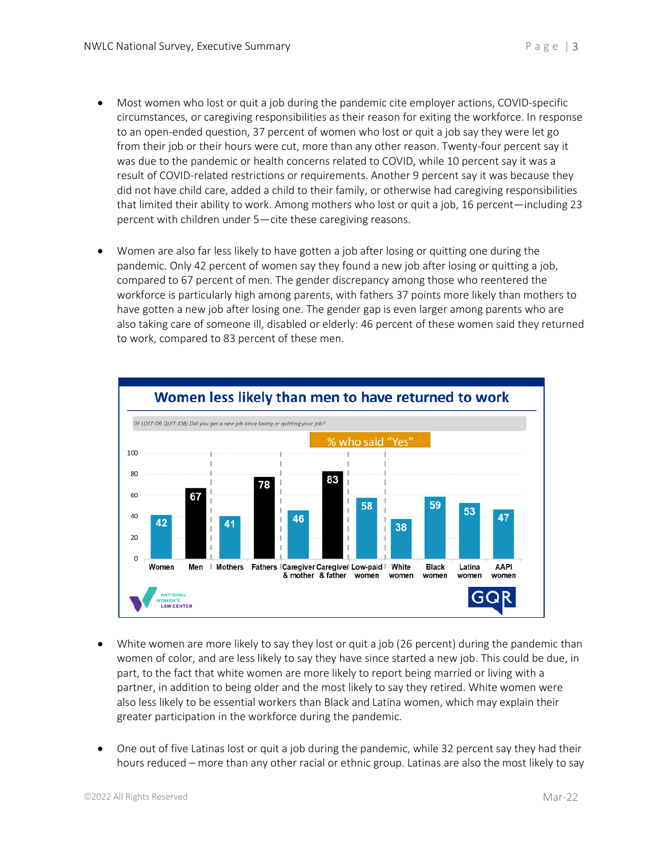- Most women who lost or quit a job during the pandemic cite employer actions, COVID-specific circumstances, or caregiving responsibilities as their reason for exiting the workforce. In response to an open-ended question, 37 percent of women who lost or quit a job say they were let go from their job or their hours were cut, more than any other reason. Twenty-four percent say it was due to the pandemic or health concerns related to COVID, while 10 percent say it was a result of COVID-related restrictions or requirements. Another 9 percent say it was because they did not have child care, added a child to their family, or otherwise had caregiving responsibilities that limited their ability to work. Among mothers who lost or quit a job, 16 percent—including 23 percent with children under 5—cite these caregiving reasons.
- Women are also far less likely to have gotten a job after losing or quitting one during the pandemic. Only 42 percent of women say they found a new job after losing or quitting a job, compared to 67 percent of men. The gender discrepancy among those who reentered the workforce is particularly high among parents, with fathers 37 points more likely than mothers to have gotten a new job after losing one. The gender gap is even larger among parents who are also taking care of someone ill, disabled or elderly: 46 percent of these women said they returned to work, compared to 83 percent of these men.



- White women are more likely to say they lost or quit a job (26 percent) during the pandemic than women of color, and are less likely to say they have since started a new job. This could be due, in part, to the fact that white women are more likely to report being married or living with a partner, in addition to being older and the most likely to say they retired. White women were also less likely to be essential workers than Black and Latina women, which may explain their greater participation in the workforce during the pandemic.
- One out of five Latinas lost or quit a job during the pandemic, while 32 percent say they had their hours reduced – more than any other racial or ethnic group. Latinas are also the most likely to say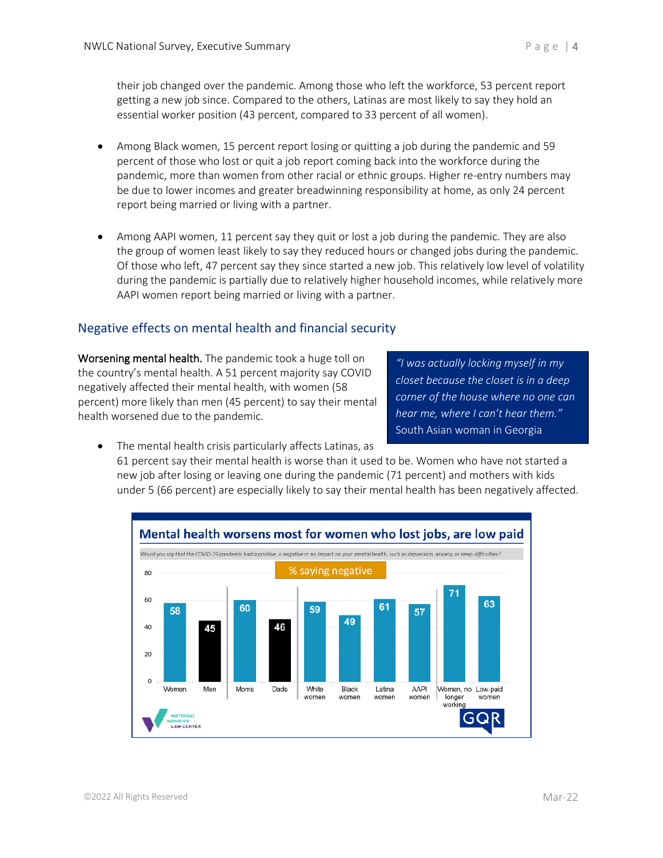their job changed over the pandemic. Among those who left the workforce, 53 percent report getting a new job since. Compared to the others, Latinas are most likely to say they hold an essential worker position (43 percent, compared to 33 percent of all women).

- Among Black women, 15 percent report losing or quitting a job during the pandemic and 59 percent of those who lost or quit a job report coming back into the workforce during the pandemic, more than women from other racial or ethnic groups. Higher re-entry numbers may be due to lower incomes and greater breadwinning responsibility at home, as only 24 percent report being married or living with a partner.
- Among AAPI women, 11 percent say they quit or lost a job during the pandemic. They are also the group of women least likely to say they reduced hours or changed jobs during the pandemic. Of those who left, 47 percent say they since started a new job. This relatively low level of volatility during the pandemic is partially due to relatively higher household incomes, while relatively more AAPI women report being married or living with a partner.

# Negative effects on mental health and financial security

Worsening mental health. The pandemic took a huge toll on the country's mental health. A 51 percent majority say COVID negatively affected their mental health, with women (58 percent) more likely than men (45 percent) to say their mental health worsened due to the pandemic.

*"I was actually locking myself in my closet because the closet is in a deep corner of the house where no one can hear me, where I can't hear them."*  South Asian woman in Georgia

- The mental health crisis particularly affects Latinas, as
	- 61 percent say their mental health is worse than it used to be. Women who have not started a new job after losing or leaving one during the pandemic (71 percent) and mothers with kids under 5 (66 percent) are especially likely to say their mental health has been negatively affected.

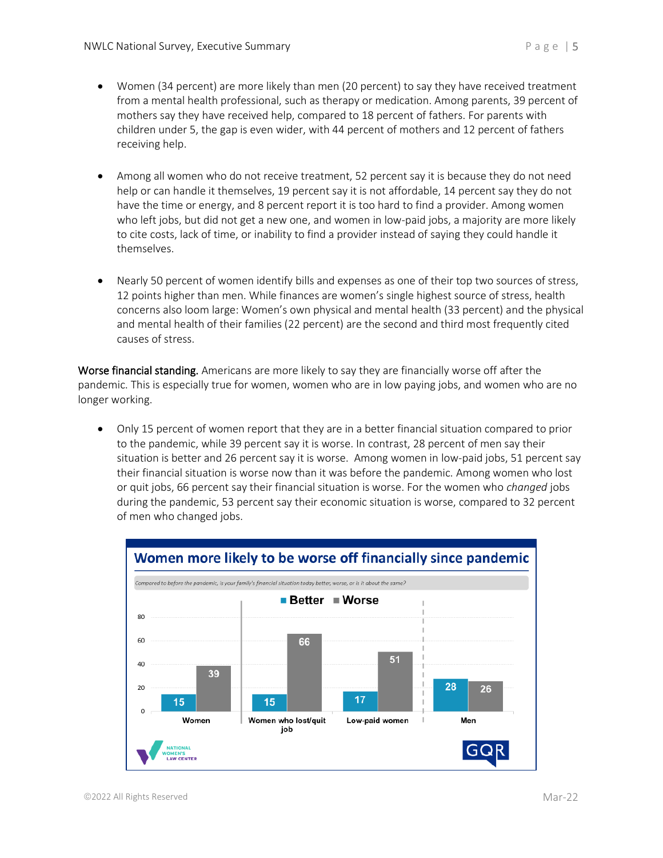- Women (34 percent) are more likely than men (20 percent) to say they have received treatment from a mental health professional, such as therapy or medication. Among parents, 39 percent of mothers say they have received help, compared to 18 percent of fathers. For parents with children under 5, the gap is even wider, with 44 percent of mothers and 12 percent of fathers receiving help.
- Among all women who do not receive treatment, 52 percent say it is because they do not need help or can handle it themselves, 19 percent say it is not affordable, 14 percent say they do not have the time or energy, and 8 percent report it is too hard to find a provider. Among women who left jobs, but did not get a new one, and women in low-paid jobs, a majority are more likely to cite costs, lack of time, or inability to find a provider instead of saying they could handle it themselves.
- Nearly 50 percent of women identify bills and expenses as one of their top two sources of stress, 12 points higher than men. While finances are women's single highest source of stress, health concerns also loom large: Women's own physical and mental health (33 percent) and the physical and mental health of their families (22 percent) are the second and third most frequently cited causes of stress.

Worse financial standing. Americans are more likely to say they are financially worse off after the pandemic. This is especially true for women, women who are in low paying jobs, and women who are no longer working.

• Only 15 percent of women report that they are in a better financial situation compared to prior to the pandemic, while 39 percent say it is worse. In contrast, 28 percent of men say their situation is better and 26 percent say it is worse. Among women in low-paid jobs, 51 percent say their financial situation is worse now than it was before the pandemic. Among women who lost or quit jobs, 66 percent say their financial situation is worse. For the women who *changed* jobs during the pandemic, 53 percent say their economic situation is worse, compared to 32 percent of men who changed jobs.

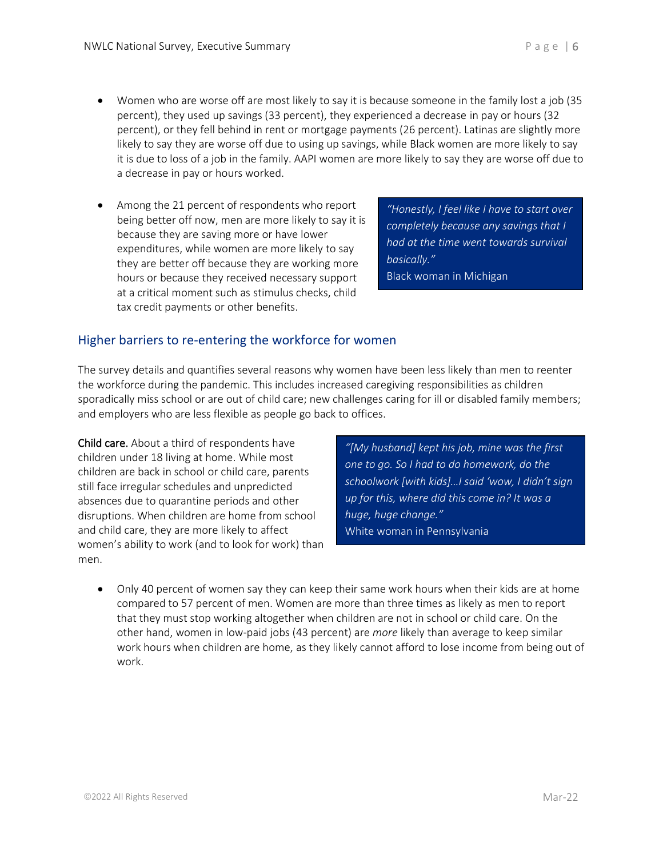- likely to say they are worse off due to using up savings, while Black women are more likely to say it is due to loss of a job in the family. AAPI women are more likely to say they are worse off due to a decrease in pay or hours worked.
- Among the 21 percent of respondents who report being better off now, men are more likely to say it is because they are saving more or have lower expenditures, while women are more likely to say they are better off because they are working more hours or because they received necessary support at a critical moment such as stimulus checks, child tax credit payments or other benefits.

*"Honestly, I feel like I have to start over completely because any savings that I had at the time went towards survival basically."* Black woman in Michigan

# Higher barriers to re-entering the workforce for women

The survey details and quantifies several reasons why women have been less likely than men to reenter the workforce during the pandemic. This includes increased caregiving responsibilities as children sporadically miss school or are out of child care; new challenges caring for ill or disabled family members; and employers who are less flexible as people go back to offices.

Child care. About a third of respondents have children under 18 living at home. While most children are back in school or child care, parents still face irregular schedules and unpredicted absences due to quarantine periods and other disruptions. When children are home from school and child care, they are more likely to affect women's ability to work (and to look for work) than men.

*"[My husband] kept his job, mine was the first one to go. So I had to do homework, do the schoolwork [with kids]…I said 'wow, I didn't sign up for this, where did this come in? It was a huge, huge change."* White woman in Pennsylvania

• Only 40 percent of women say they can keep their same work hours when their kids are at home compared to 57 percent of men. Women are more than three times as likely as men to report that they must stop working altogether when children are not in school or child care. On the other hand, women in low-paid jobs (43 percent) are *more* likely than average to keep similar work hours when children are home, as they likely cannot afford to lose income from being out of work.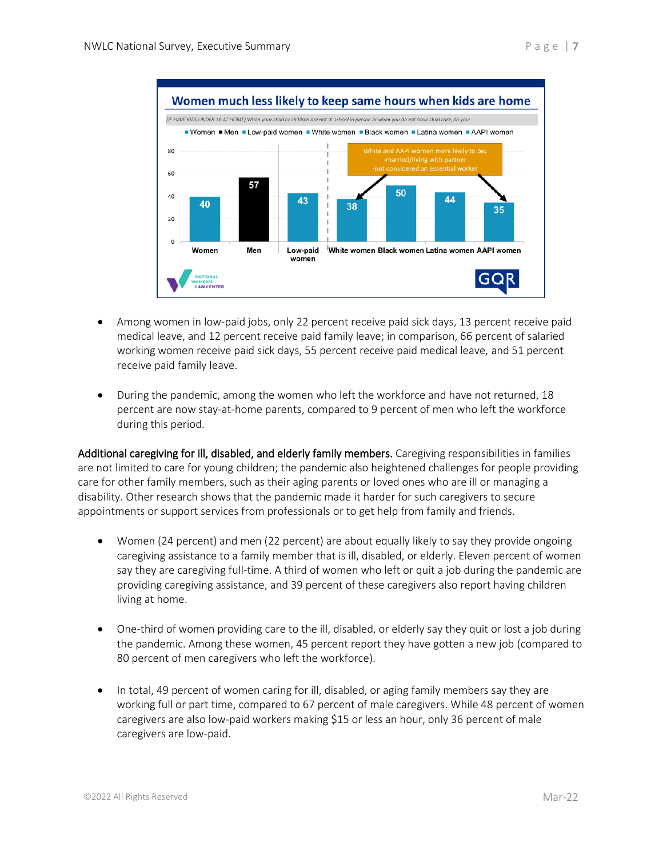

- Among women in low-paid jobs, only 22 percent receive paid sick days, 13 percent receive paid medical leave, and 12 percent receive paid family leave; in comparison, 66 percent of salaried working women receive paid sick days, 55 percent receive paid medical leave, and 51 percent receive paid family leave.
- During the pandemic, among the women who left the workforce and have not returned, 18 percent are now stay-at-home parents, compared to 9 percent of men who left the workforce during this period.

Additional caregiving for ill, disabled, and elderly family members. Caregiving responsibilities in families are not limited to care for young children; the pandemic also heightened challenges for people providing care for other family members, such as their aging parents or loved ones who are ill or managing a disability. Other research shows that the pandemic made it harder for such caregivers to secure appointments or support services from professionals or to get help from family and friends.

- Women (24 percent) and men (22 percent) are about equally likely to say they provide ongoing caregiving assistance to a family member that is ill, disabled, or elderly. Eleven percent of women say they are caregiving full-time. A third of women who left or quit a job during the pandemic are providing caregiving assistance, and 39 percent of these caregivers also report having children living at home.
- One-third of women providing care to the ill, disabled, or elderly say they quit or lost a job during the pandemic. Among these women, 45 percent report they have gotten a new job (compared to 80 percent of men caregivers who left the workforce).
- In total, 49 percent of women caring for ill, disabled, or aging family members say they are working full or part time, compared to 67 percent of male caregivers. While 48 percent of women caregivers are also low-paid workers making \$15 or less an hour, only 36 percent of male caregivers are low-paid.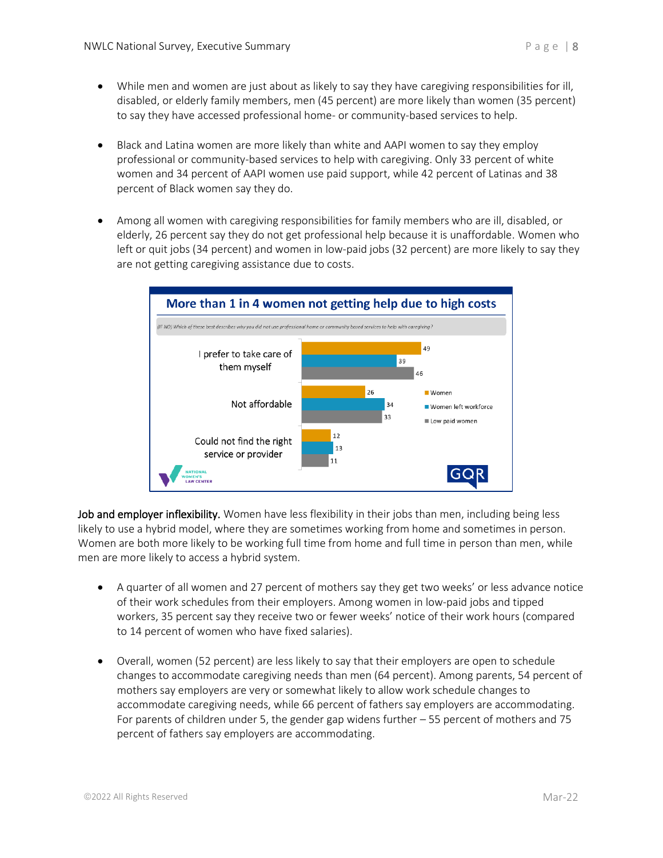- While men and women are just about as likely to say they have caregiving responsibilities for ill, disabled, or elderly family members, men (45 percent) are more likely than women (35 percent) to say they have accessed professional home- or community-based services to help.
- Black and Latina women are more likely than white and AAPI women to say they employ professional or community-based services to help with caregiving. Only 33 percent of white women and 34 percent of AAPI women use paid support, while 42 percent of Latinas and 38 percent of Black women say they do.
- Among all women with caregiving responsibilities for family members who are ill, disabled, or elderly, 26 percent say they do not get professional help because it is unaffordable. Women who left or quit jobs (34 percent) and women in low-paid jobs (32 percent) are more likely to say they are not getting caregiving assistance due to costs.



Job and employer inflexibility. Women have less flexibility in their jobs than men, including being less likely to use a hybrid model, where they are sometimes working from home and sometimes in person. Women are both more likely to be working full time from home and full time in person than men, while men are more likely to access a hybrid system.

- A quarter of all women and 27 percent of mothers say they get two weeks' or less advance notice of their work schedules from their employers. Among women in low-paid jobs and tipped workers, 35 percent say they receive two or fewer weeks' notice of their work hours (compared to 14 percent of women who have fixed salaries).
- Overall, women (52 percent) are less likely to say that their employers are open to schedule changes to accommodate caregiving needs than men (64 percent). Among parents, 54 percent of mothers say employers are very or somewhat likely to allow work schedule changes to accommodate caregiving needs, while 66 percent of fathers say employers are accommodating. For parents of children under 5, the gender gap widens further – 55 percent of mothers and 75 percent of fathers say employers are accommodating.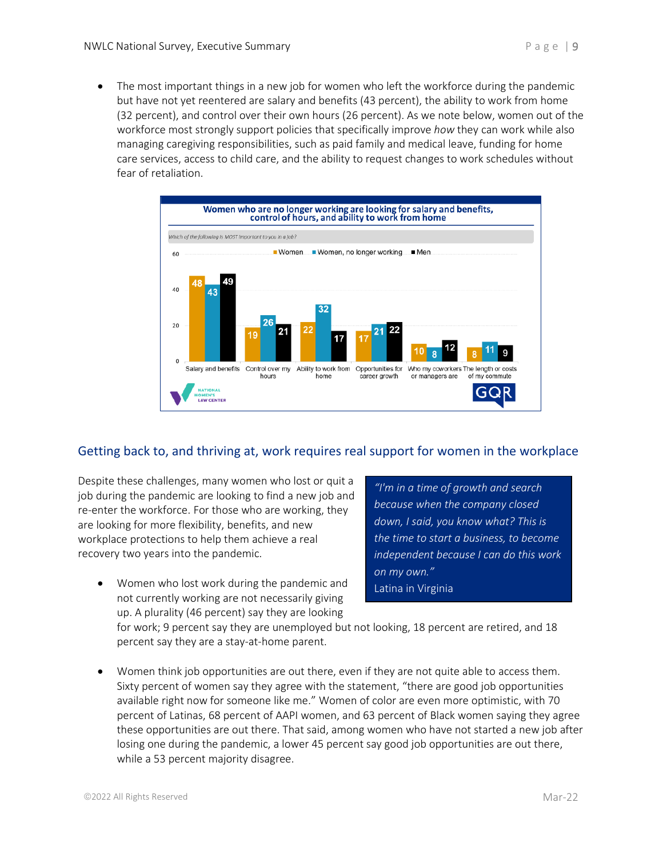• The most important things in a new job for women who left the workforce during the pandemic but have not yet reentered are salary and benefits (43 percent), the ability to work from home (32 percent), and control over their own hours (26 percent). As we note below, women out of the workforce most strongly support policies that specifically improve *how* they can work while also managing caregiving responsibilities, such as paid family and medical leave, funding for home care services, access to child care, and the ability to request changes to work schedules without fear of retaliation.



# Getting back to, and thriving at, work requires real support for women in the workplace

Despite these challenges, many women who lost or quit a job during the pandemic are looking to find a new job and re-enter the workforce. For those who are working, they are looking for more flexibility, benefits, and new workplace protections to help them achieve a real recovery two years into the pandemic.

*"I'm in a time of growth and search because when the company closed down, I said, you know what? This is the time to start a business, to become independent because I can do this work on my own."* Latina in Virginia

• Women who lost work during the pandemic and not currently working are not necessarily giving up. A plurality (46 percent) say they are looking

for work; 9 percent say they are unemployed but not looking, 18 percent are retired, and 18 percent say they are a stay-at-home parent.

• Women think job opportunities are out there, even if they are not quite able to access them. Sixty percent of women say they agree with the statement, "there are good job opportunities available right now for someone like me." Women of color are even more optimistic, with 70 percent of Latinas, 68 percent of AAPI women, and 63 percent of Black women saying they agree these opportunities are out there. That said, among women who have not started a new job after losing one during the pandemic, a lower 45 percent say good job opportunities are out there, while a 53 percent majority disagree.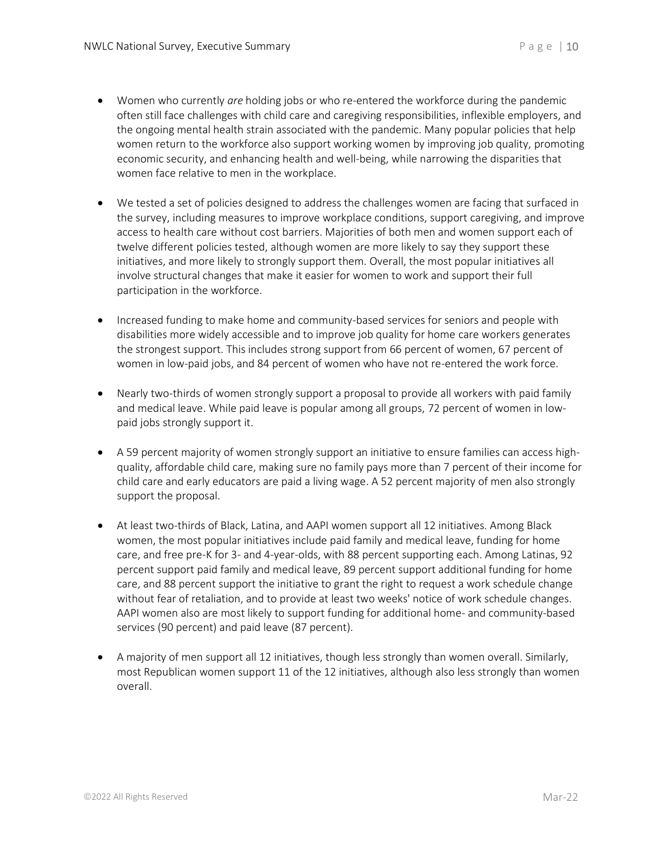- Women who currently *are* holding jobs or who re-entered the workforce during the pandemic often still face challenges with child care and caregiving responsibilities, inflexible employers, and the ongoing mental health strain associated with the pandemic. Many popular policies that help women return to the workforce also support working women by improving job quality, promoting economic security, and enhancing health and well-being, while narrowing the disparities that women face relative to men in the workplace.
- We tested a set of policies designed to address the challenges women are facing that surfaced in the survey, including measures to improve workplace conditions, support caregiving, and improve access to health care without cost barriers. Majorities of both men and women support each of twelve different policies tested, although women are more likely to say they support these initiatives, and more likely to strongly support them. Overall, the most popular initiatives all involve structural changes that make it easier for women to work and support their full participation in the workforce.
- Increased funding to make home and community-based services for seniors and people with disabilities more widely accessible and to improve job quality for home care workers generates the strongest support. This includes strong support from 66 percent of women, 67 percent of women in low-paid jobs, and 84 percent of women who have not re-entered the work force.
- Nearly two-thirds of women strongly support a proposal to provide all workers with paid family and medical leave. While paid leave is popular among all groups, 72 percent of women in lowpaid jobs strongly support it.
- A 59 percent majority of women strongly support an initiative to ensure families can access highquality, affordable child care, making sure no family pays more than 7 percent of their income for child care and early educators are paid a living wage. A 52 percent majority of men also strongly support the proposal.
- At least two-thirds of Black, Latina, and AAPI women support all 12 initiatives. Among Black women, the most popular initiatives include paid family and medical leave, funding for home care, and free pre-K for 3- and 4-year-olds, with 88 percent supporting each. Among Latinas, 92 percent support paid family and medical leave, 89 percent support additional funding for home care, and 88 percent support the initiative to grant the right to request a work schedule change without fear of retaliation, and to provide at least two weeks' notice of work schedule changes. AAPI women also are most likely to support funding for additional home- and community-based services (90 percent) and paid leave (87 percent).
- A majority of men support all 12 initiatives, though less strongly than women overall. Similarly, most Republican women support 11 of the 12 initiatives, although also less strongly than women overall.